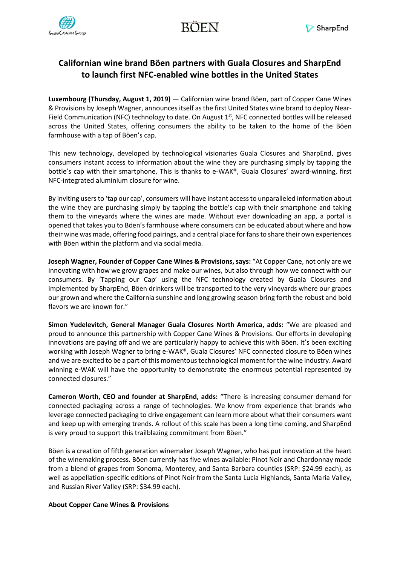

# **Californian wine brand Böen partners with Guala Closures and SharpEnd to launch first NFC-enabled wine bottles in the United States**

**Luxembourg (Thursday, August 1, 2019)** — Californian wine brand Böen, part of Copper Cane Wines & Provisions by Joseph Wagner, announces itself as the first United States wine brand to deploy Near-Field Communication (NFC) technology to date. On August 1<sup>st</sup>, NFC connected bottles will be released across the United States, offering consumers the ability to be taken to the home of the Böen farmhouse with a tap of Böen's cap.

This new technology, developed by technological visionaries Guala Closures and SharpEnd, gives consumers instant access to information about the wine they are purchasing simply by tapping the bottle's cap with their smartphone. This is thanks to e-WAK®, Guala Closures' award-winning, first NFC-integrated aluminium closure for wine.

By inviting users to 'tap our cap', consumers will have instant access to unparalleled information about the wine they are purchasing simply by tapping the bottle's cap with their smartphone and taking them to the vineyards where the wines are made. Without ever downloading an app, a portal is opened that takes you to Böen's farmhouse where consumers can be educated about where and how their wine was made, offering food pairings, and a central place for fans to share their own experiences with Böen within the platform and via social media.

**Joseph Wagner, Founder of Copper Cane Wines & Provisions, says:** "At Copper Cane, not only are we innovating with how we grow grapes and make our wines, but also through how we connect with our consumers. By 'Tapping our Cap' using the NFC technology created by Guala Closures and implemented by SharpEnd, Böen drinkers will be transported to the very vineyards where our grapes our grown and where the California sunshine and long growing season bring forth the robust and bold flavors we are known for."

**Simon Yudelevitch, General Manager Guala Closures North America, adds:** "We are pleased and proud to announce this partnership with Copper Cane Wines & Provisions. Our efforts in developing innovations are paying off and we are particularly happy to achieve this with Böen. It's been exciting working with Joseph Wagner to bring e-WAK®, Guala Closures' NFC connected closure to Böen wines and we are excited to be a part of this momentous technological moment for the wine industry. Award winning e-WAK will have the opportunity to demonstrate the enormous potential represented by connected closures."

**Cameron Worth, CEO and founder at SharpEnd, adds:** "There is increasing consumer demand for connected packaging across a range of technologies. We know from experience that brands who leverage connected packaging to drive engagement can learn more about what their consumers want and keep up with emerging trends. A rollout of this scale has been a long time coming, and SharpEnd is very proud to support this trailblazing commitment from Böen."

Böen is a creation of fifth generation winemaker Joseph Wagner, who has put innovation at the heart of the winemaking process. Böen currently has five wines available: Pinot Noir and Chardonnay made from a blend of grapes from Sonoma, Monterey, and Santa Barbara counties (SRP: \$24.99 each), as well as appellation-specific editions of Pinot Noir from the Santa Lucia Highlands, Santa Maria Valley, and Russian River Valley (SRP: \$34.99 each).

## **About Copper Cane Wines & Provisions**